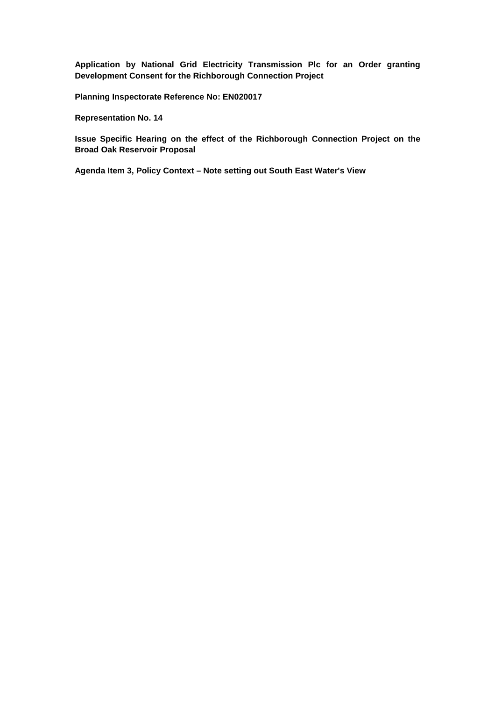**Application by National Grid Electricity Transmission Plc for an Order granting Development Consent for the Richborough Connection Project**

**Planning Inspectorate Reference No: EN020017**

**Representation No. 14**

**Issue Specific Hearing on the effect of the Richborough Connection Project on the Broad Oak Reservoir Proposal**

**Agenda Item 3, Policy Context – Note setting out South East Water's View**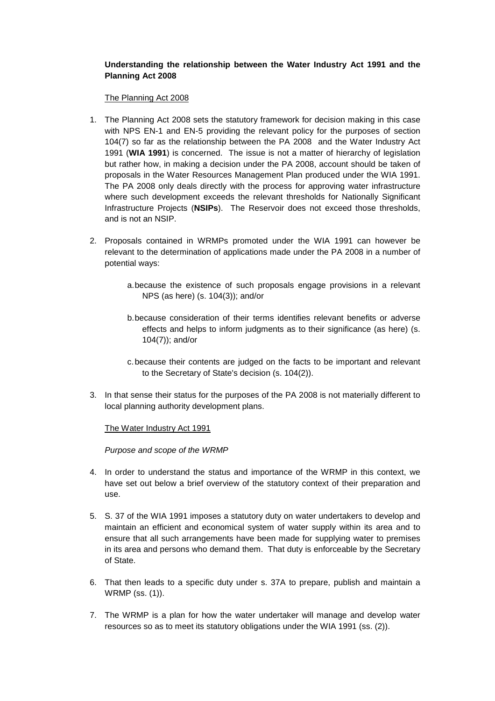# **Understanding the relationship between the Water Industry Act 1991 and the Planning Act 2008**

The Planning Act 2008

- 1. The Planning Act 2008 sets the statutory framework for decision making in this case with NPS EN-1 and EN-5 providing the relevant policy for the purposes of section 104(7) so far as the relationship between the PA 2008 and the Water Industry Act 1991 (**WIA 1991**) is concerned. The issue is not a matter of hierarchy of legislation but rather how, in making a decision under the PA 2008, account should be taken of proposals in the Water Resources Management Plan produced under the WIA 1991. The PA 2008 only deals directly with the process for approving water infrastructure where such development exceeds the relevant thresholds for Nationally Significant Infrastructure Projects (**NSIPs**). The Reservoir does not exceed those thresholds, and is not an NSIP.
- 2. Proposals contained in WRMPs promoted under the WIA 1991 can however be relevant to the determination of applications made under the PA 2008 in a number of potential ways:
	- a.because the existence of such proposals engage provisions in a relevant NPS (as here) (s. 104(3)); and/or
	- b.because consideration of their terms identifies relevant benefits or adverse effects and helps to inform judgments as to their significance (as here) (s. 104(7)); and/or
	- c.because their contents are judged on the facts to be important and relevant to the Secretary of State's decision (s. 104(2)).
- 3. In that sense their status for the purposes of the PA 2008 is not materially different to local planning authority development plans.

The Water Industry Act 1991

*Purpose and scope of the WRMP*

- 4. In order to understand the status and importance of the WRMP in this context, we have set out below a brief overview of the statutory context of their preparation and use.
- 5. S. 37 of the WIA 1991 imposes a statutory duty on water undertakers to develop and maintain an efficient and economical system of water supply within its area and to ensure that all such arrangements have been made for supplying water to premises in its area and persons who demand them. That duty is enforceable by the Secretary of State.
- 6. That then leads to a specific duty under s. 37A to prepare, publish and maintain a WRMP (ss. (1)).
- 7. The WRMP is a plan for how the water undertaker will manage and develop water resources so as to meet its statutory obligations under the WIA 1991 (ss. (2)).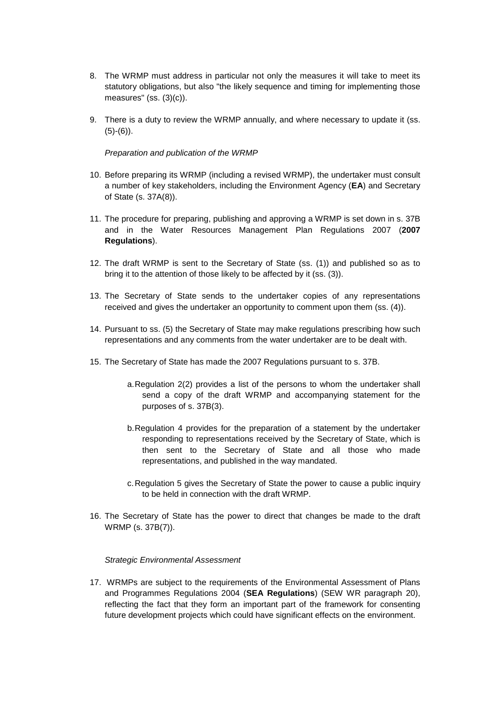- 8. The WRMP must address in particular not only the measures it will take to meet its statutory obligations, but also "the likely sequence and timing for implementing those measures" (ss. (3)(c)).
- 9. There is a duty to review the WRMP annually, and where necessary to update it (ss.  $(5)-(6)$ ).

### *Preparation and publication of the WRMP*

- 10. Before preparing its WRMP (including a revised WRMP), the undertaker must consult a number of key stakeholders, including the Environment Agency (**EA**) and Secretary of State (s. 37A(8)).
- 11. The procedure for preparing, publishing and approving a WRMP is set down in s. 37B and in the Water Resources Management Plan Regulations 2007 (**2007 Regulations**).
- 12. The draft WRMP is sent to the Secretary of State (ss. (1)) and published so as to bring it to the attention of those likely to be affected by it (ss. (3)).
- 13. The Secretary of State sends to the undertaker copies of any representations received and gives the undertaker an opportunity to comment upon them (ss. (4)).
- 14. Pursuant to ss. (5) the Secretary of State may make regulations prescribing how such representations and any comments from the water undertaker are to be dealt with.
- 15. The Secretary of State has made the 2007 Regulations pursuant to s. 37B.
	- a.Regulation 2(2) provides a list of the persons to whom the undertaker shall send a copy of the draft WRMP and accompanying statement for the purposes of s. 37B(3).
	- b.Regulation 4 provides for the preparation of a statement by the undertaker responding to representations received by the Secretary of State, which is then sent to the Secretary of State and all those who made representations, and published in the way mandated.
	- c.Regulation 5 gives the Secretary of State the power to cause a public inquiry to be held in connection with the draft WRMP.
- 16. The Secretary of State has the power to direct that changes be made to the draft WRMP (s. 37B(7)).

#### *Strategic Environmental Assessment*

17. WRMPs are subject to the requirements of the Environmental Assessment of Plans and Programmes Regulations 2004 (**SEA Regulations**) (SEW WR paragraph 20), reflecting the fact that they form an important part of the framework for consenting future development projects which could have significant effects on the environment.